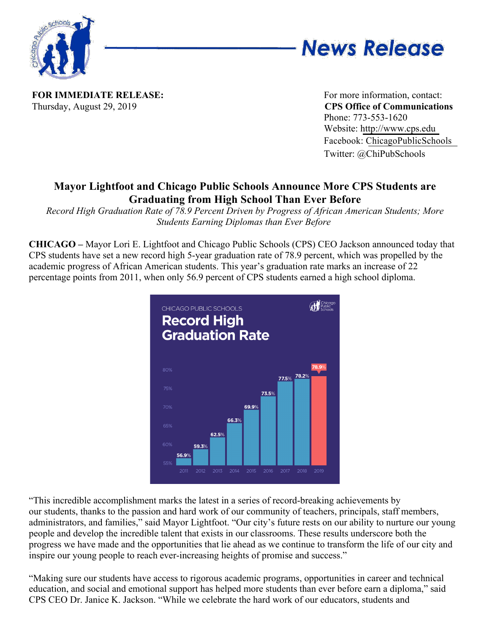



**FOR IMMEDIATE RELEASE:** For more information, contact: Thursday, August 29, 2019 **CPS Office of Communications**

Phone: 773-553-1620 Website: http://www.cps.edu Facebook: ChicagoPublicSchools Twitter: @ChiPubSchools

## **Mayor Lightfoot and Chicago Public Schools Announce More CPS Students are Graduating from High School Than Ever Before**

*Record High Graduation Rate of 78.9 Percent Driven by Progress of African American Students; More Students Earning Diplomas than Ever Before*

**CHICAGO –** Mayor Lori E. Lightfoot and Chicago Public Schools (CPS) CEO Jackson announced today that CPS students have set a new record high 5-year graduation rate of 78.9 percent, which was propelled by the academic progress of African American students. This year's graduation rate marks an increase of 22 percentage points from 2011, when only 56.9 percent of CPS students earned a high school diploma.



"This incredible accomplishment marks the latest in a series of record-breaking achievements by our students, thanks to the passion and hard work of our community of teachers, principals, staff members, administrators, and families," said Mayor Lightfoot. "Our city's future rests on our ability to nurture our young people and develop the incredible talent that exists in our classrooms. These results underscore both the progress we have made and the opportunities that lie ahead as we continue to transform the life of our city and inspire our young people to reach ever-increasing heights of promise and success."

"Making sure our students have access to rigorous academic programs, opportunities in career and technical education, and social and emotional support has helped more students than ever before earn a diploma," said CPS CEO Dr. Janice K. Jackson. "While we celebrate the hard work of our educators, students and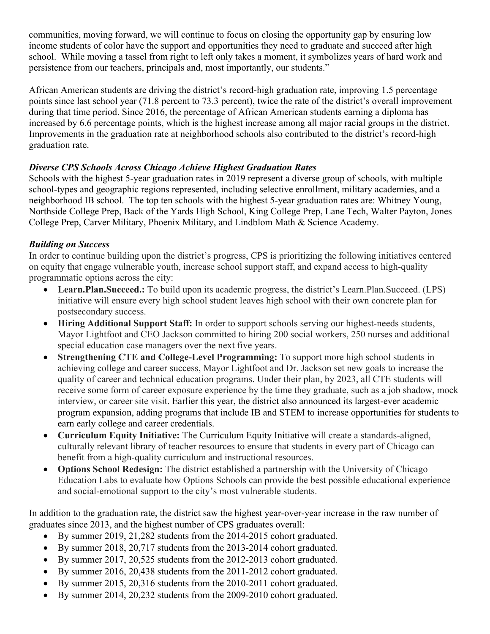communities, moving forward, we will continue to focus on closing the opportunity gap by ensuring low income students of color have the support and opportunities they need to graduate and succeed after high school. While moving a tassel from right to left only takes a moment, it symbolizes years of hard work and persistence from our teachers, principals and, most importantly, our students."

African American students are driving the district's record-high graduation rate, improving 1.5 percentage points since last school year (71.8 percent to 73.3 percent), twice the rate of the district's overall improvement during that time period. Since 2016, the percentage of African American students earning a diploma has increased by 6.6 percentage points, which is the highest increase among all major racial groups in the district. Improvements in the graduation rate at neighborhood schools also contributed to the district's record-high graduation rate.

## *Diverse CPS Schools Across Chicago Achieve Highest Graduation Rates*

Schools with the highest 5-year graduation rates in 2019 represent a diverse group of schools, with multiple school-types and geographic regions represented, including selective enrollment, military academies, and a neighborhood IB school. The top ten schools with the highest 5-year graduation rates are: Whitney Young, Northside College Prep, Back of the Yards High School, King College Prep, Lane Tech, Walter Payton, Jones College Prep, Carver Military, Phoenix Military, and Lindblom Math & Science Academy.

## *Building on Success*

In order to continue building upon the district's progress, CPS is prioritizing the following initiatives centered on equity that engage vulnerable youth, increase school support staff, and expand access to high-quality programmatic options across the city:

- **Learn.Plan.Succeed.:** To build upon its academic progress, the district's Learn.Plan.Succeed. (LPS) initiative will ensure every high school student leaves high school with their own concrete plan for postsecondary success.
- **Hiring Additional Support Staff:** In order to support schools serving our highest-needs students, Mayor Lightfoot and CEO Jackson committed to hiring 200 social workers, 250 nurses and additional special education case managers over the next five years.
- **Strengthening CTE and College-Level Programming:** To support more high school students in achieving college and career success, Mayor Lightfoot and Dr. Jackson set new goals to increase the quality of career and technical education programs. Under their plan, by 2023, all CTE students will receive some form of career exposure experience by the time they graduate, such as a job shadow, mock interview, or career site visit. Earlier this year, the district also announced its largest-ever academic program expansion, adding programs that include IB and STEM to increase opportunities for students to earn early college and career credentials.
- **Curriculum Equity Initiative:** The Curriculum Equity Initiative will create a standards-aligned, culturally relevant library of teacher resources to ensure that students in every part of Chicago can benefit from a high-quality curriculum and instructional resources.
- **Options School Redesign:** The district established a partnership with the University of Chicago Education Labs to evaluate how Options Schools can provide the best possible educational experience and social-emotional support to the city's most vulnerable students.

In addition to the graduation rate, the district saw the highest year-over-year increase in the raw number of graduates since 2013, and the highest number of CPS graduates overall:

- By summer 2019, 21,282 students from the 2014-2015 cohort graduated.
- By summer 2018, 20,717 students from the 2013-2014 cohort graduated.
- By summer 2017, 20,525 students from the 2012-2013 cohort graduated.
- By summer 2016, 20,438 students from the 2011-2012 cohort graduated.
- By summer 2015, 20,316 students from the 2010-2011 cohort graduated.
- By summer 2014, 20,232 students from the 2009-2010 cohort graduated.